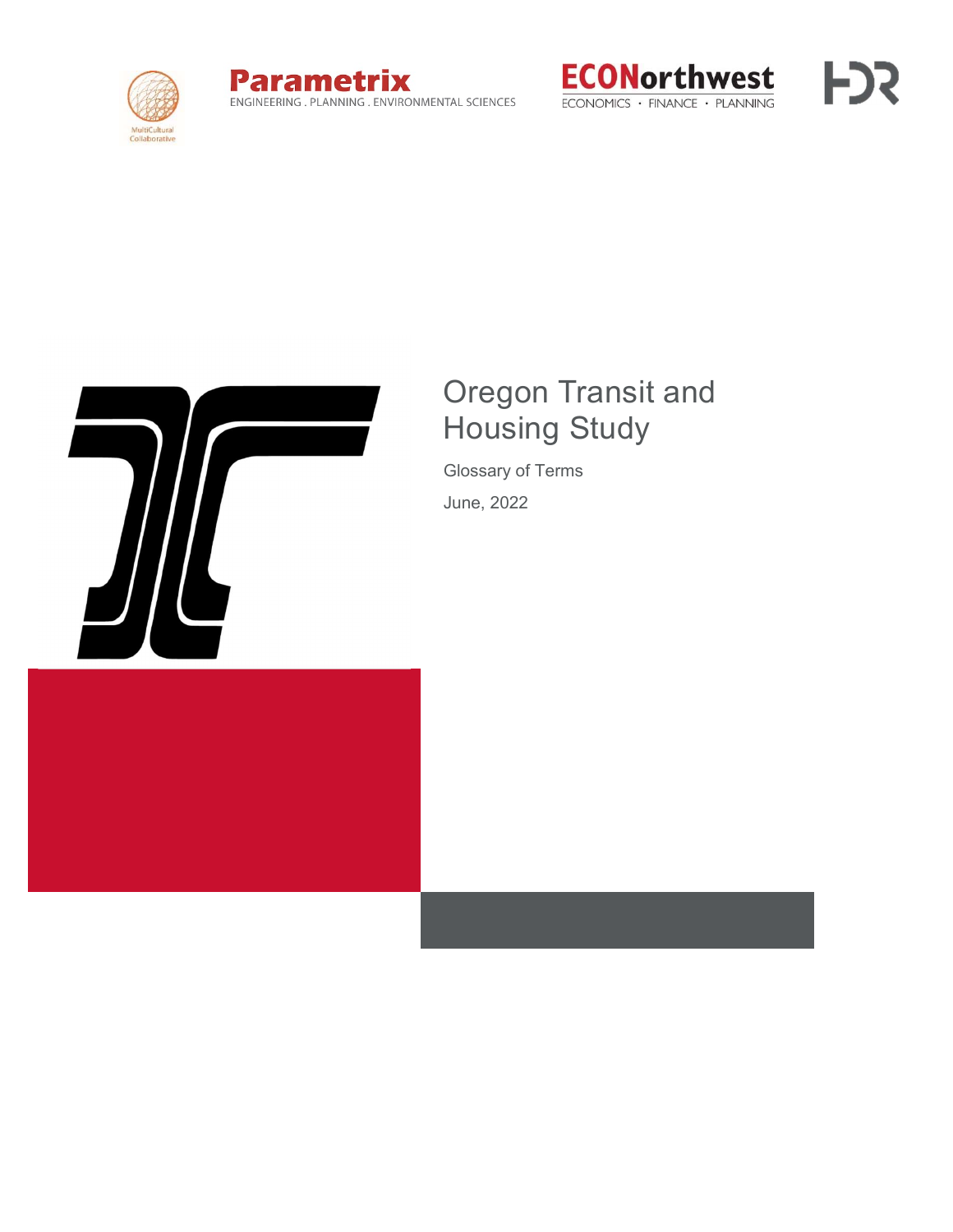







## Oregon Transit and Housing Study

Glossary of Terms June, 2022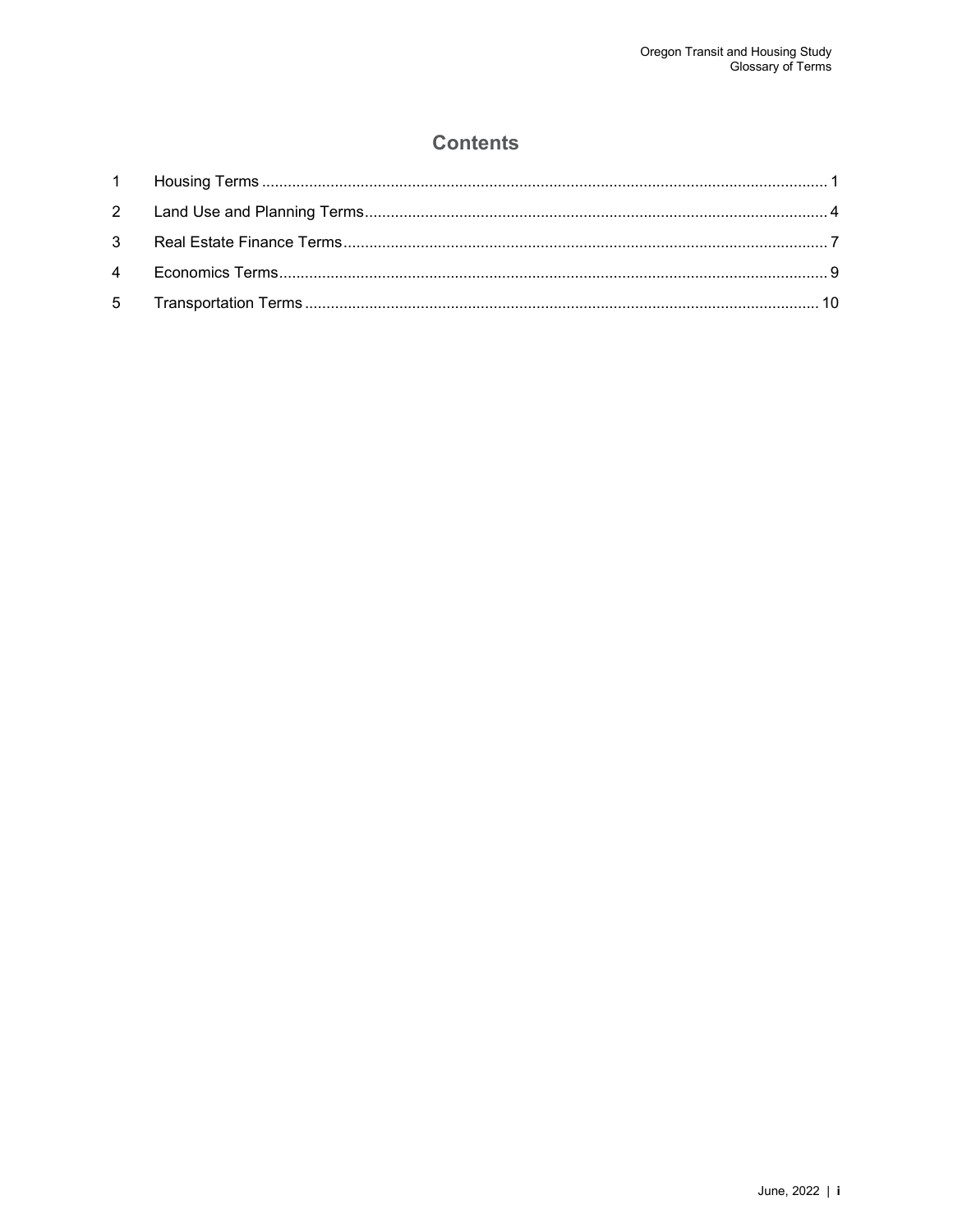#### **Contents**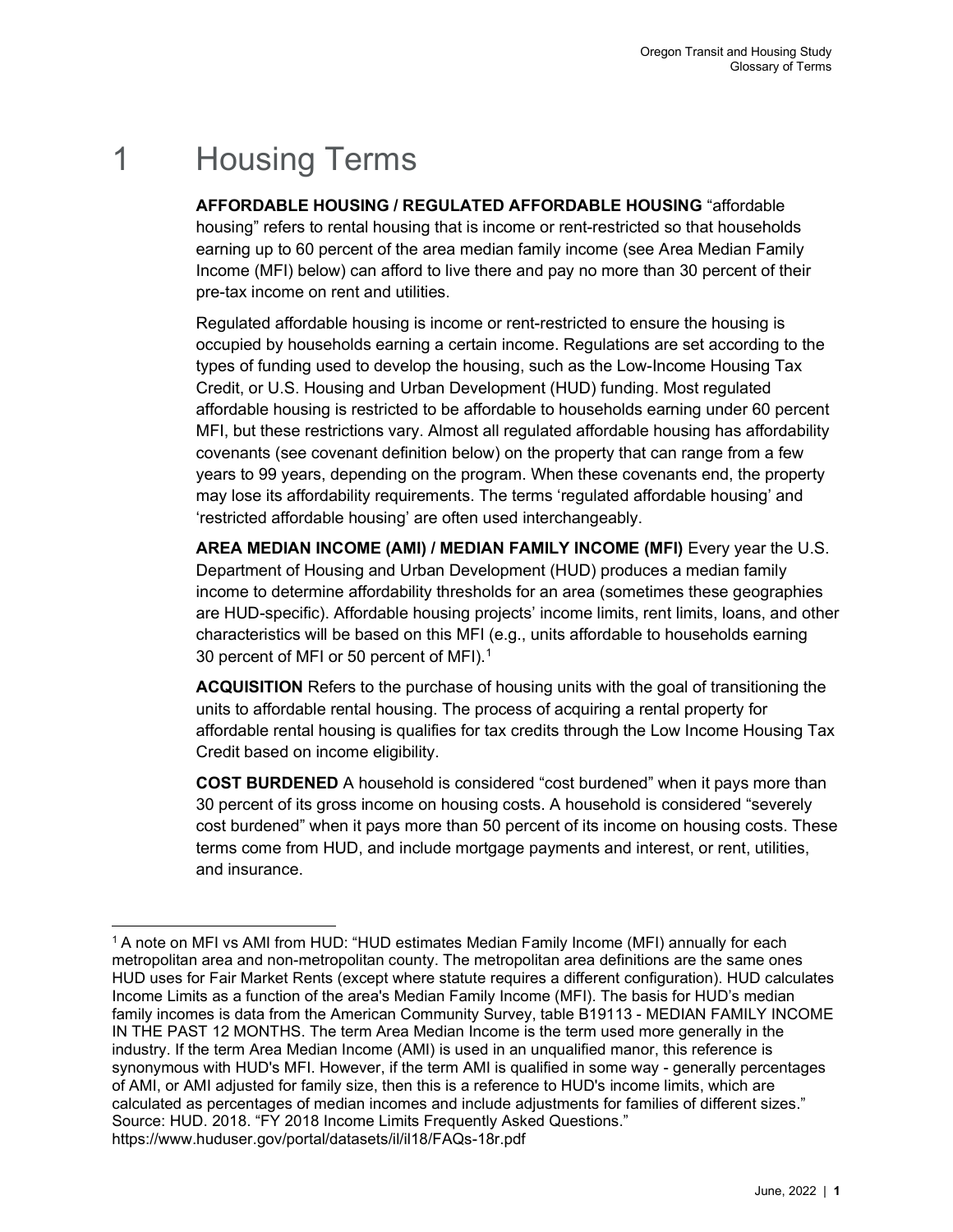# 1 Housing Terms

AFFORDABLE HOUSING / REGULATED AFFORDABLE HOUSING "affordable housing" refers to rental housing that is income or rent-restricted so that households earning up to 60 percent of the area median family income (see Area Median Family Income (MFI) below) can afford to live there and pay no more than 30 percent of their pre-tax income on rent and utilities.

Regulated affordable housing is income or rent-restricted to ensure the housing is occupied by households earning a certain income. Regulations are set according to the types of funding used to develop the housing, such as the Low-Income Housing Tax Credit, or U.S. Housing and Urban Development (HUD) funding. Most regulated affordable housing is restricted to be affordable to households earning under 60 percent MFI, but these restrictions vary. Almost all regulated affordable housing has affordability covenants (see covenant definition below) on the property that can range from a few years to 99 years, depending on the program. When these covenants end, the property may lose its affordability requirements. The terms 'regulated affordable housing' and 'restricted affordable housing' are often used interchangeably.

AREA MEDIAN INCOME (AMI) / MEDIAN FAMILY INCOME (MFI) Every year the U.S. Department of Housing and Urban Development (HUD) produces a median family income to determine affordability thresholds for an area (sometimes these geographies are HUD-specific). Affordable housing projects' income limits, rent limits, loans, and other characteristics will be based on this MFI (e.g., units affordable to households earning 30 percent of MFI or 50 percent of MFI).<sup>1</sup>

ACQUISITION Refers to the purchase of housing units with the goal of transitioning the units to affordable rental housing. The process of acquiring a rental property for affordable rental housing is qualifies for tax credits through the Low Income Housing Tax Credit based on income eligibility.

COST BURDENED A household is considered "cost burdened" when it pays more than 30 percent of its gross income on housing costs. A household is considered "severely cost burdened" when it pays more than 50 percent of its income on housing costs. These terms come from HUD, and include mortgage payments and interest, or rent, utilities, and insurance.

<sup>&</sup>lt;sup>1</sup> A note on MFI vs AMI from HUD: "HUD estimates Median Family Income (MFI) annually for each metropolitan area and non-metropolitan county. The metropolitan area definitions are the same ones HUD uses for Fair Market Rents (except where statute requires a different configuration). HUD calculates Income Limits as a function of the area's Median Family Income (MFI). The basis for HUD's median family incomes is data from the American Community Survey, table B19113 - MEDIAN FAMILY INCOME IN THE PAST 12 MONTHS. The term Area Median Income is the term used more generally in the industry. If the term Area Median Income (AMI) is used in an unqualified manor, this reference is synonymous with HUD's MFI. However, if the term AMI is qualified in some way - generally percentages of AMI, or AMI adjusted for family size, then this is a reference to HUD's income limits, which are calculated as percentages of median incomes and include adjustments for families of different sizes." Source: HUD. 2018. "FY 2018 Income Limits Frequently Asked Questions." https://www.huduser.gov/portal/datasets/il/il18/FAQs-18r.pdf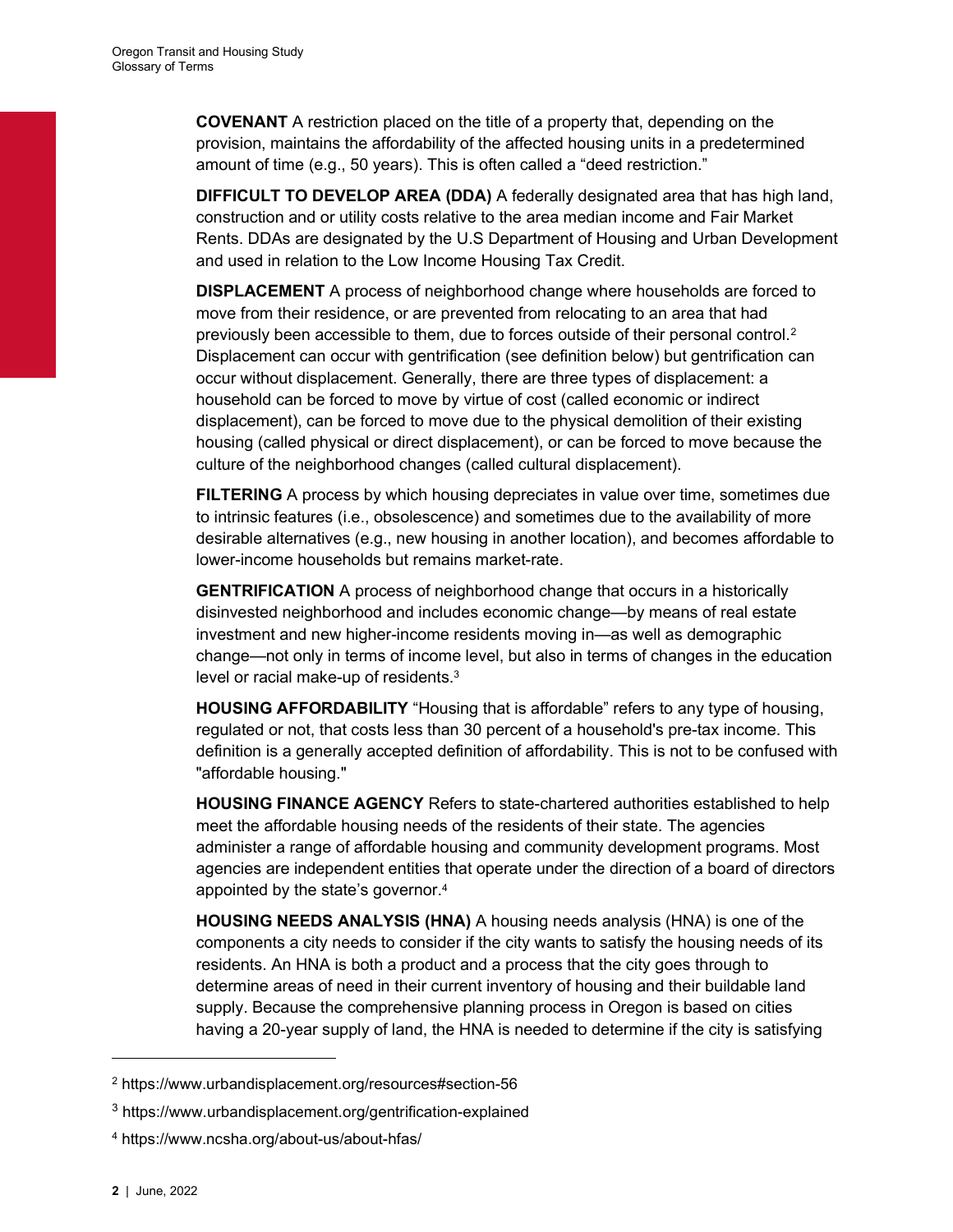COVENANT A restriction placed on the title of a property that, depending on the provision, maintains the affordability of the affected housing units in a predetermined amount of time (e.g., 50 years). This is often called a "deed restriction."

DIFFICULT TO DEVELOP AREA (DDA) A federally designated area that has high land, construction and or utility costs relative to the area median income and Fair Market Rents. DDAs are designated by the U.S Department of Housing and Urban Development and used in relation to the Low Income Housing Tax Credit.

DISPLACEMENT A process of neighborhood change where households are forced to move from their residence, or are prevented from relocating to an area that had previously been accessible to them, due to forces outside of their personal control.<sup>2</sup> Displacement can occur with gentrification (see definition below) but gentrification can occur without displacement. Generally, there are three types of displacement: a household can be forced to move by virtue of cost (called economic or indirect displacement), can be forced to move due to the physical demolition of their existing housing (called physical or direct displacement), or can be forced to move because the culture of the neighborhood changes (called cultural displacement).

**FILTERING** A process by which housing depreciates in value over time, sometimes due to intrinsic features (i.e., obsolescence) and sometimes due to the availability of more desirable alternatives (e.g., new housing in another location), and becomes affordable to lower-income households but remains market-rate.

GENTRIFICATION A process of neighborhood change that occurs in a historically disinvested neighborhood and includes economic change—by means of real estate investment and new higher-income residents moving in—as well as demographic change—not only in terms of income level, but also in terms of changes in the education level or racial make-up of residents.<sup>3</sup>

HOUSING AFFORDABILITY "Housing that is affordable" refers to any type of housing, regulated or not, that costs less than 30 percent of a household's pre-tax income. This definition is a generally accepted definition of affordability. This is not to be confused with "affordable housing."

HOUSING FINANCE AGENCY Refers to state-chartered authorities established to help meet the affordable housing needs of the residents of their state. The agencies administer a range of affordable housing and community development programs. Most agencies are independent entities that operate under the direction of a board of directors appointed by the state's governor.<sup>4</sup>

HOUSING NEEDS ANALYSIS (HNA) A housing needs analysis (HNA) is one of the components a city needs to consider if the city wants to satisfy the housing needs of its residents. An HNA is both a product and a process that the city goes through to determine areas of need in their current inventory of housing and their buildable land supply. Because the comprehensive planning process in Oregon is based on cities having a 20-year supply of land, the HNA is needed to determine if the city is satisfying

<sup>2</sup> https://www.urbandisplacement.org/resources#section-56

<sup>3</sup> https://www.urbandisplacement.org/gentrification-explained

<sup>4</sup> https://www.ncsha.org/about-us/about-hfas/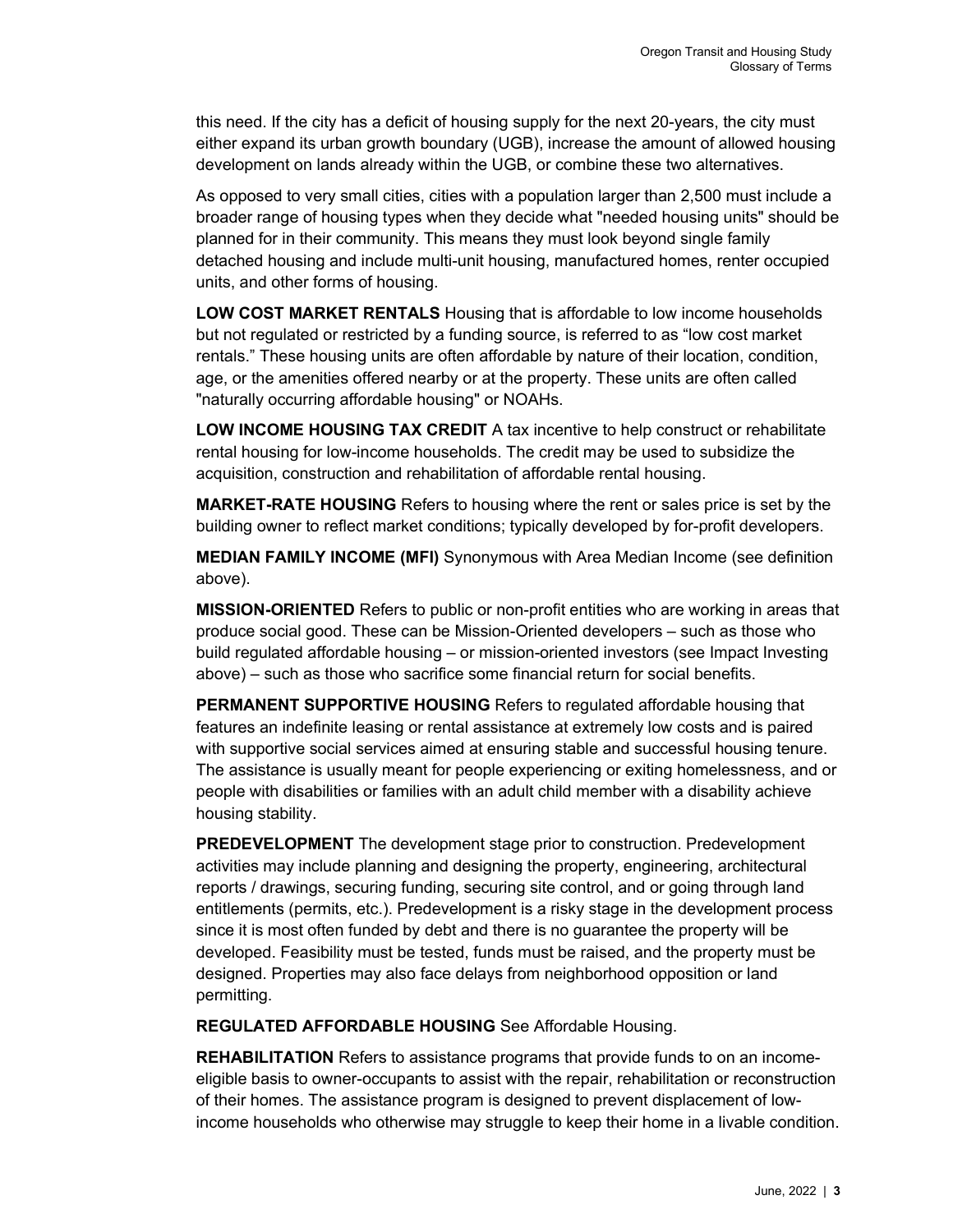this need. If the city has a deficit of housing supply for the next 20-years, the city must either expand its urban growth boundary (UGB), increase the amount of allowed housing development on lands already within the UGB, or combine these two alternatives.

As opposed to very small cities, cities with a population larger than 2,500 must include a broader range of housing types when they decide what "needed housing units" should be planned for in their community. This means they must look beyond single family detached housing and include multi-unit housing, manufactured homes, renter occupied units, and other forms of housing.

LOW COST MARKET RENTALS Housing that is affordable to low income households but not regulated or restricted by a funding source, is referred to as "low cost market rentals." These housing units are often affordable by nature of their location, condition, age, or the amenities offered nearby or at the property. These units are often called "naturally occurring affordable housing" or NOAHs.

LOW INCOME HOUSING TAX CREDIT A tax incentive to help construct or rehabilitate rental housing for low-income households. The credit may be used to subsidize the acquisition, construction and rehabilitation of affordable rental housing.

MARKET-RATE HOUSING Refers to housing where the rent or sales price is set by the building owner to reflect market conditions; typically developed by for-profit developers.

MEDIAN FAMILY INCOME (MFI) Synonymous with Area Median Income (see definition above).

MISSION-ORIENTED Refers to public or non-profit entities who are working in areas that produce social good. These can be Mission-Oriented developers – such as those who build regulated affordable housing – or mission-oriented investors (see Impact Investing above) – such as those who sacrifice some financial return for social benefits.

PERMANENT SUPPORTIVE HOUSING Refers to regulated affordable housing that features an indefinite leasing or rental assistance at extremely low costs and is paired with supportive social services aimed at ensuring stable and successful housing tenure. The assistance is usually meant for people experiencing or exiting homelessness, and or people with disabilities or families with an adult child member with a disability achieve housing stability.

PREDEVELOPMENT The development stage prior to construction. Predevelopment activities may include planning and designing the property, engineering, architectural reports / drawings, securing funding, securing site control, and or going through land entitlements (permits, etc.). Predevelopment is a risky stage in the development process since it is most often funded by debt and there is no guarantee the property will be developed. Feasibility must be tested, funds must be raised, and the property must be designed. Properties may also face delays from neighborhood opposition or land permitting.

REGULATED AFFORDABLE HOUSING See Affordable Housing.

REHABILITATION Refers to assistance programs that provide funds to on an incomeeligible basis to owner-occupants to assist with the repair, rehabilitation or reconstruction of their homes. The assistance program is designed to prevent displacement of lowincome households who otherwise may struggle to keep their home in a livable condition.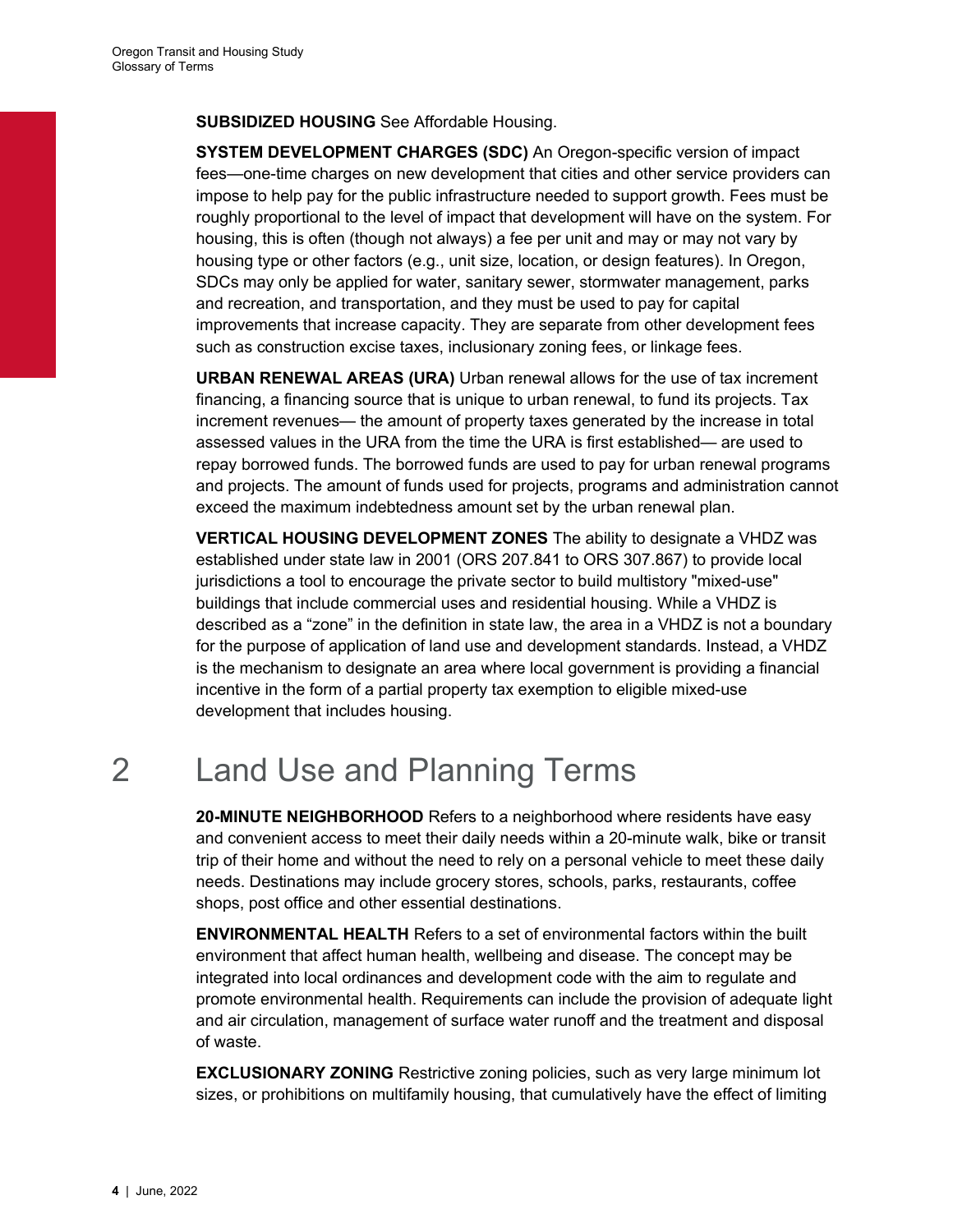#### SUBSIDIZED HOUSING See Affordable Housing.

SYSTEM DEVELOPMENT CHARGES (SDC) An Oregon-specific version of impact fees—one-time charges on new development that cities and other service providers can impose to help pay for the public infrastructure needed to support growth. Fees must be roughly proportional to the level of impact that development will have on the system. For housing, this is often (though not always) a fee per unit and may or may not vary by housing type or other factors (e.g., unit size, location, or design features). In Oregon, SDCs may only be applied for water, sanitary sewer, stormwater management, parks and recreation, and transportation, and they must be used to pay for capital improvements that increase capacity. They are separate from other development fees such as construction excise taxes, inclusionary zoning fees, or linkage fees.

URBAN RENEWAL AREAS (URA) Urban renewal allows for the use of tax increment financing, a financing source that is unique to urban renewal, to fund its projects. Tax increment revenues— the amount of property taxes generated by the increase in total assessed values in the URA from the time the URA is first established— are used to repay borrowed funds. The borrowed funds are used to pay for urban renewal programs and projects. The amount of funds used for projects, programs and administration cannot exceed the maximum indebtedness amount set by the urban renewal plan.

VERTICAL HOUSING DEVELOPMENT ZONES The ability to designate a VHDZ was established under state law in 2001 (ORS 207.841 to ORS 307.867) to provide local jurisdictions a tool to encourage the private sector to build multistory "mixed-use" buildings that include commercial uses and residential housing. While a VHDZ is described as a "zone" in the definition in state law, the area in a VHDZ is not a boundary for the purpose of application of land use and development standards. Instead, a VHDZ is the mechanism to designate an area where local government is providing a financial incentive in the form of a partial property tax exemption to eligible mixed-use development that includes housing.

# 2 Land Use and Planning Terms

20-MINUTE NEIGHBORHOOD Refers to a neighborhood where residents have easy and convenient access to meet their daily needs within a 20-minute walk, bike or transit trip of their home and without the need to rely on a personal vehicle to meet these daily needs. Destinations may include grocery stores, schools, parks, restaurants, coffee shops, post office and other essential destinations.

ENVIRONMENTAL HEALTH Refers to a set of environmental factors within the built environment that affect human health, wellbeing and disease. The concept may be integrated into local ordinances and development code with the aim to regulate and promote environmental health. Requirements can include the provision of adequate light and air circulation, management of surface water runoff and the treatment and disposal of waste.

EXCLUSIONARY ZONING Restrictive zoning policies, such as very large minimum lot sizes, or prohibitions on multifamily housing, that cumulatively have the effect of limiting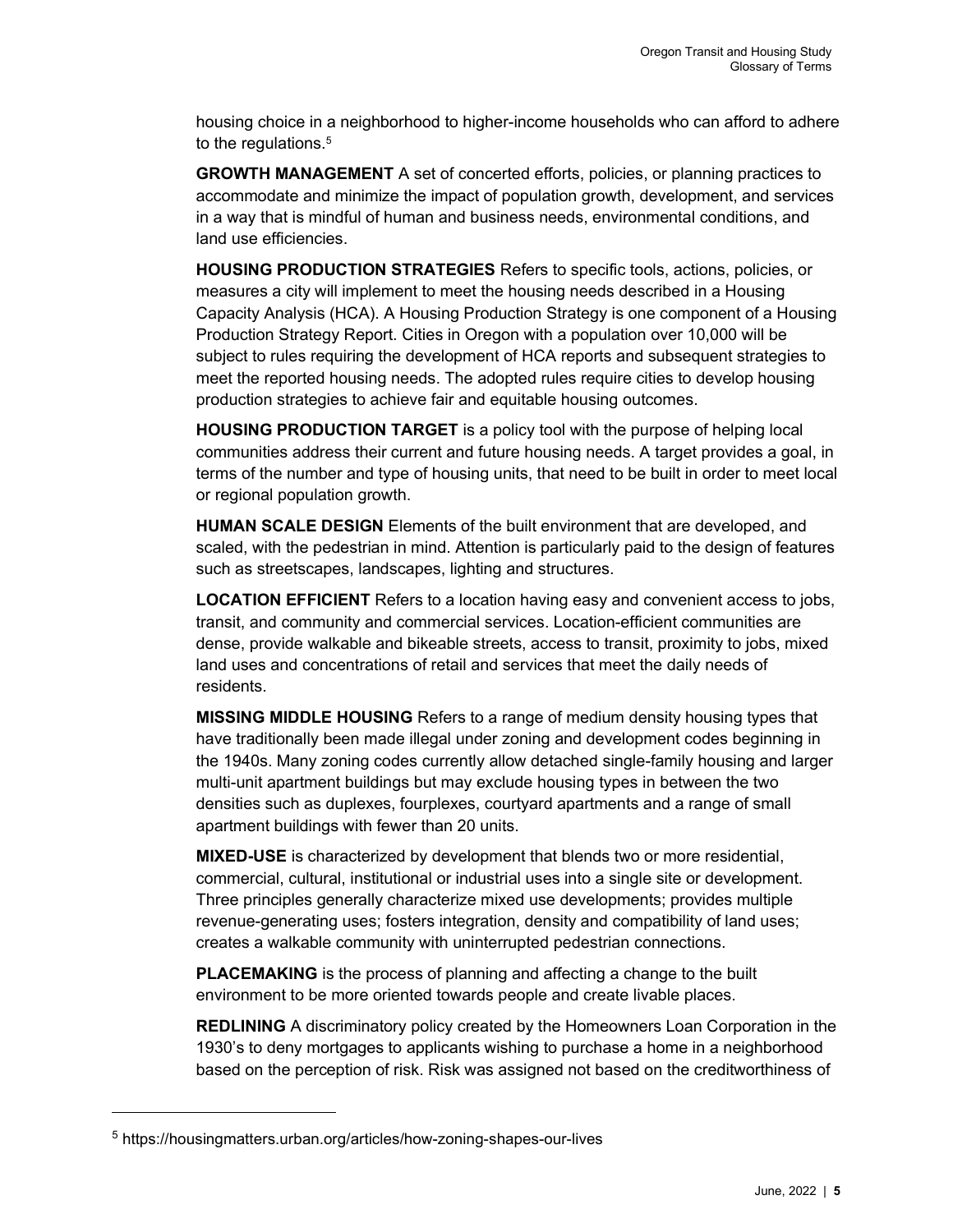housing choice in a neighborhood to higher-income households who can afford to adhere to the regulations.<sup>5</sup>

GROWTH MANAGEMENT A set of concerted efforts, policies, or planning practices to accommodate and minimize the impact of population growth, development, and services in a way that is mindful of human and business needs, environmental conditions, and land use efficiencies.

HOUSING PRODUCTION STRATEGIES Refers to specific tools, actions, policies, or measures a city will implement to meet the housing needs described in a Housing Capacity Analysis (HCA). A Housing Production Strategy is one component of a Housing Production Strategy Report. Cities in Oregon with a population over 10,000 will be subject to rules requiring the development of HCA reports and subsequent strategies to meet the reported housing needs. The adopted rules require cities to develop housing production strategies to achieve fair and equitable housing outcomes.

HOUSING PRODUCTION TARGET is a policy tool with the purpose of helping local communities address their current and future housing needs. A target provides a goal, in terms of the number and type of housing units, that need to be built in order to meet local or regional population growth.

HUMAN SCALE DESIGN Elements of the built environment that are developed, and scaled, with the pedestrian in mind. Attention is particularly paid to the design of features such as streetscapes, landscapes, lighting and structures.

LOCATION EFFICIENT Refers to a location having easy and convenient access to jobs, transit, and community and commercial services. Location-efficient communities are dense, provide walkable and bikeable streets, access to transit, proximity to jobs, mixed land uses and concentrations of retail and services that meet the daily needs of residents.

MISSING MIDDLE HOUSING Refers to a range of medium density housing types that have traditionally been made illegal under zoning and development codes beginning in the 1940s. Many zoning codes currently allow detached single-family housing and larger multi-unit apartment buildings but may exclude housing types in between the two densities such as duplexes, fourplexes, courtyard apartments and a range of small apartment buildings with fewer than 20 units.

MIXED-USE is characterized by development that blends two or more residential, commercial, cultural, institutional or industrial uses into a single site or development. Three principles generally characterize mixed use developments; provides multiple revenue-generating uses; fosters integration, density and compatibility of land uses; creates a walkable community with uninterrupted pedestrian connections.

PLACEMAKING is the process of planning and affecting a change to the built environment to be more oriented towards people and create livable places.

REDLINING A discriminatory policy created by the Homeowners Loan Corporation in the 1930's to deny mortgages to applicants wishing to purchase a home in a neighborhood based on the perception of risk. Risk was assigned not based on the creditworthiness of

<sup>5</sup> https://housingmatters.urban.org/articles/how-zoning-shapes-our-lives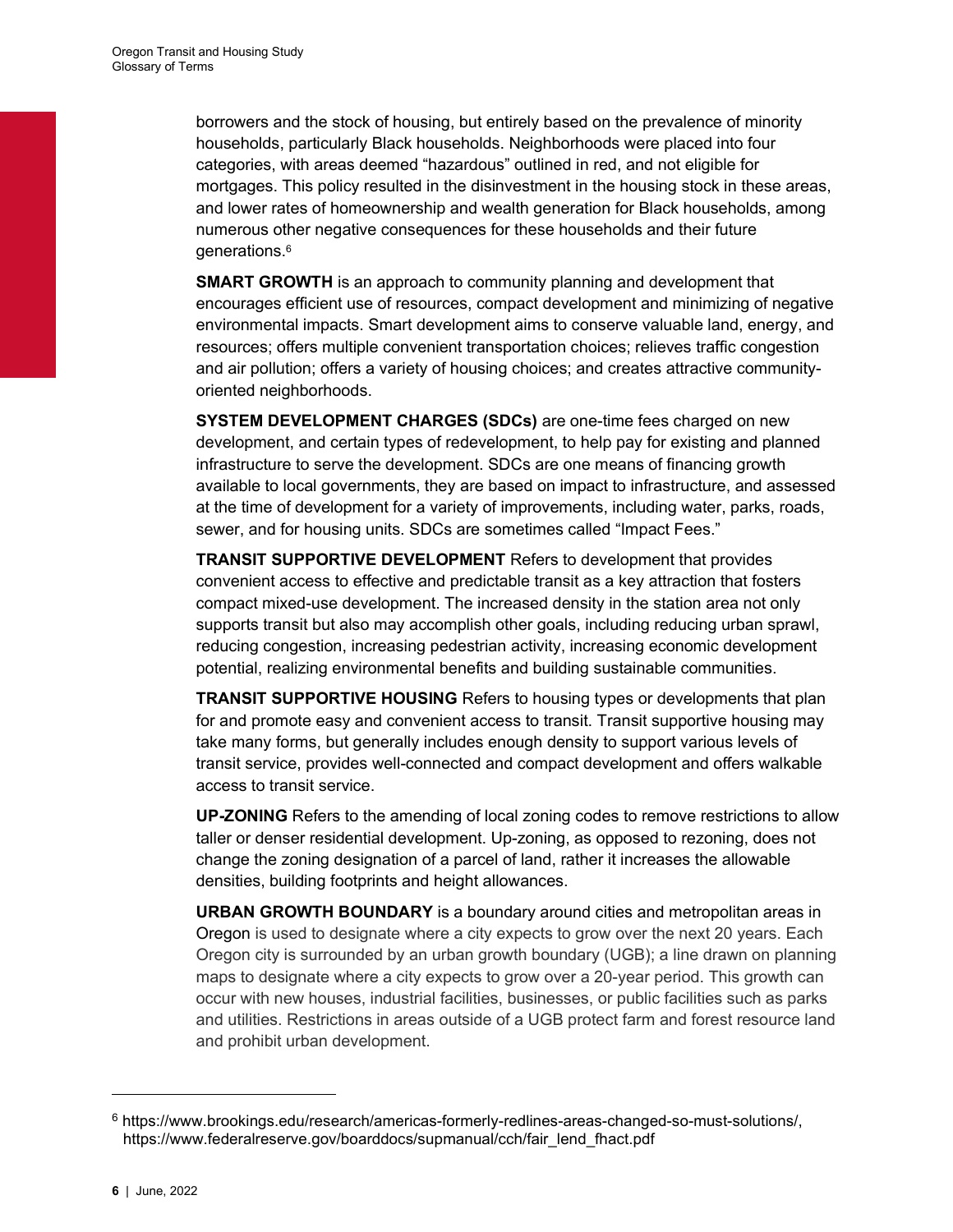borrowers and the stock of housing, but entirely based on the prevalence of minority households, particularly Black households. Neighborhoods were placed into four categories, with areas deemed "hazardous" outlined in red, and not eligible for mortgages. This policy resulted in the disinvestment in the housing stock in these areas, and lower rates of homeownership and wealth generation for Black households, among numerous other negative consequences for these households and their future generations.<sup>6</sup>

**SMART GROWTH** is an approach to community planning and development that encourages efficient use of resources, compact development and minimizing of negative environmental impacts. Smart development aims to conserve valuable land, energy, and resources; offers multiple convenient transportation choices; relieves traffic congestion and air pollution; offers a variety of housing choices; and creates attractive communityoriented neighborhoods.

SYSTEM DEVELOPMENT CHARGES (SDCs) are one-time fees charged on new development, and certain types of redevelopment, to help pay for existing and planned infrastructure to serve the development. SDCs are one means of financing growth available to local governments, they are based on impact to infrastructure, and assessed at the time of development for a variety of improvements, including water, parks, roads, sewer, and for housing units. SDCs are sometimes called "Impact Fees."

TRANSIT SUPPORTIVE DEVELOPMENT Refers to development that provides convenient access to effective and predictable transit as a key attraction that fosters compact mixed-use development. The increased density in the station area not only supports transit but also may accomplish other goals, including reducing urban sprawl, reducing congestion, increasing pedestrian activity, increasing economic development potential, realizing environmental benefits and building sustainable communities.

TRANSIT SUPPORTIVE HOUSING Refers to housing types or developments that plan for and promote easy and convenient access to transit. Transit supportive housing may take many forms, but generally includes enough density to support various levels of transit service, provides well-connected and compact development and offers walkable access to transit service.

UP-ZONING Refers to the amending of local zoning codes to remove restrictions to allow taller or denser residential development. Up-zoning, as opposed to rezoning, does not change the zoning designation of a parcel of land, rather it increases the allowable densities, building footprints and height allowances.

URBAN GROWTH BOUNDARY is a boundary around cities and metropolitan areas in Oregon is used to designate where a city expects to grow over the next 20 years. Each Oregon city is surrounded by an urban growth boundary (UGB); a line drawn on planning maps to designate where a city expects to grow over a 20-year period. This growth can occur with new houses, industrial facilities, businesses, or public facilities such as parks and utilities. Restrictions in areas outside of a UGB protect farm and forest resource land and prohibit urban development.

<sup>6</sup> https://www.brookings.edu/research/americas-formerly-redlines-areas-changed-so-must-solutions/, https://www.federalreserve.gov/boarddocs/supmanual/cch/fair\_lend\_fhact.pdf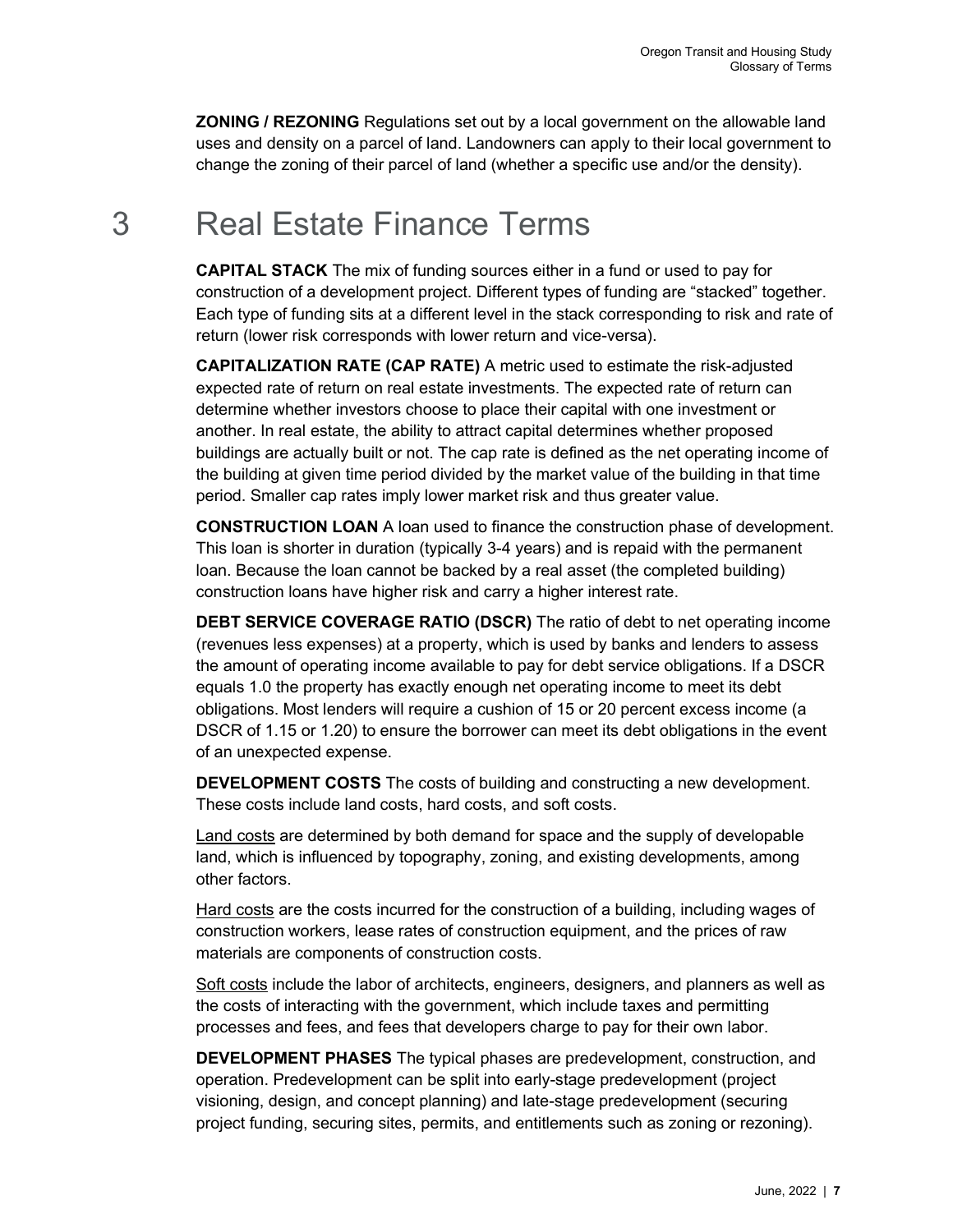**ZONING / REZONING** Regulations set out by a local government on the allowable land uses and density on a parcel of land. Landowners can apply to their local government to change the zoning of their parcel of land (whether a specific use and/or the density).

## 3 Real Estate Finance Terms

CAPITAL STACK The mix of funding sources either in a fund or used to pay for construction of a development project. Different types of funding are "stacked" together. Each type of funding sits at a different level in the stack corresponding to risk and rate of return (lower risk corresponds with lower return and vice-versa).

CAPITALIZATION RATE (CAP RATE) A metric used to estimate the risk-adjusted expected rate of return on real estate investments. The expected rate of return can determine whether investors choose to place their capital with one investment or another. In real estate, the ability to attract capital determines whether proposed buildings are actually built or not. The cap rate is defined as the net operating income of the building at given time period divided by the market value of the building in that time period. Smaller cap rates imply lower market risk and thus greater value.

CONSTRUCTION LOAN A loan used to finance the construction phase of development. This loan is shorter in duration (typically 3-4 years) and is repaid with the permanent loan. Because the loan cannot be backed by a real asset (the completed building) construction loans have higher risk and carry a higher interest rate.

DEBT SERVICE COVERAGE RATIO (DSCR) The ratio of debt to net operating income (revenues less expenses) at a property, which is used by banks and lenders to assess the amount of operating income available to pay for debt service obligations. If a DSCR equals 1.0 the property has exactly enough net operating income to meet its debt obligations. Most lenders will require a cushion of 15 or 20 percent excess income (a DSCR of 1.15 or 1.20) to ensure the borrower can meet its debt obligations in the event of an unexpected expense.

DEVELOPMENT COSTS The costs of building and constructing a new development. These costs include land costs, hard costs, and soft costs.

Land costs are determined by both demand for space and the supply of developable land, which is influenced by topography, zoning, and existing developments, among other factors.

Hard costs are the costs incurred for the construction of a building, including wages of construction workers, lease rates of construction equipment, and the prices of raw materials are components of construction costs.

Soft costs include the labor of architects, engineers, designers, and planners as well as the costs of interacting with the government, which include taxes and permitting processes and fees, and fees that developers charge to pay for their own labor.

DEVELOPMENT PHASES The typical phases are predevelopment, construction, and operation. Predevelopment can be split into early-stage predevelopment (project visioning, design, and concept planning) and late-stage predevelopment (securing project funding, securing sites, permits, and entitlements such as zoning or rezoning).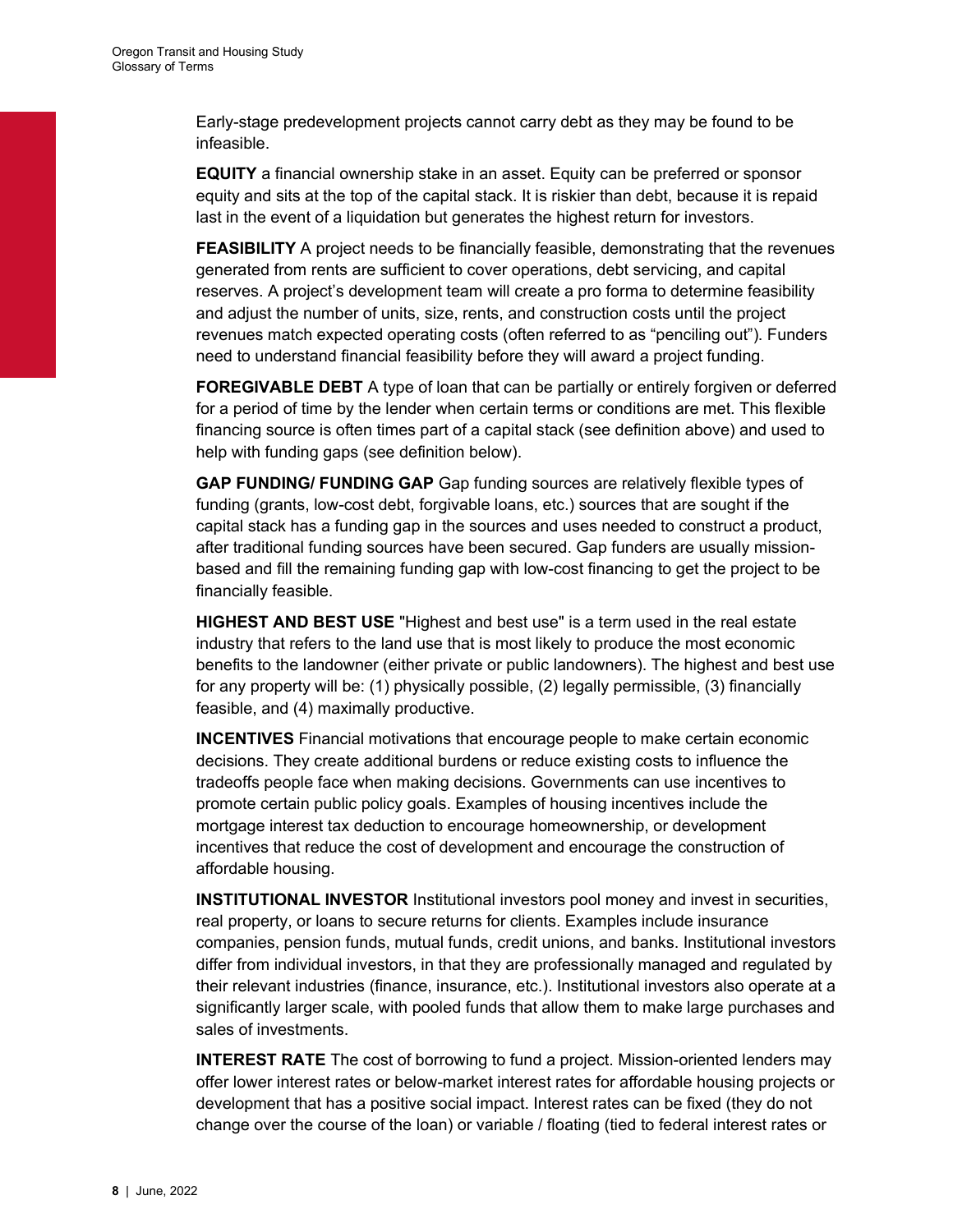Early-stage predevelopment projects cannot carry debt as they may be found to be infeasible.

EQUITY a financial ownership stake in an asset. Equity can be preferred or sponsor equity and sits at the top of the capital stack. It is riskier than debt, because it is repaid last in the event of a liquidation but generates the highest return for investors.

FEASIBILITY A project needs to be financially feasible, demonstrating that the revenues generated from rents are sufficient to cover operations, debt servicing, and capital reserves. A project's development team will create a pro forma to determine feasibility and adjust the number of units, size, rents, and construction costs until the project revenues match expected operating costs (often referred to as "penciling out"). Funders need to understand financial feasibility before they will award a project funding.

**FOREGIVABLE DEBT** A type of loan that can be partially or entirely forgiven or deferred for a period of time by the lender when certain terms or conditions are met. This flexible financing source is often times part of a capital stack (see definition above) and used to help with funding gaps (see definition below).

GAP FUNDING/ FUNDING GAP Gap funding sources are relatively flexible types of funding (grants, low-cost debt, forgivable loans, etc.) sources that are sought if the capital stack has a funding gap in the sources and uses needed to construct a product, after traditional funding sources have been secured. Gap funders are usually missionbased and fill the remaining funding gap with low-cost financing to get the project to be financially feasible.

HIGHEST AND BEST USE "Highest and best use" is a term used in the real estate industry that refers to the land use that is most likely to produce the most economic benefits to the landowner (either private or public landowners). The highest and best use for any property will be: (1) physically possible, (2) legally permissible, (3) financially feasible, and (4) maximally productive.

INCENTIVES Financial motivations that encourage people to make certain economic decisions. They create additional burdens or reduce existing costs to influence the tradeoffs people face when making decisions. Governments can use incentives to promote certain public policy goals. Examples of housing incentives include the mortgage interest tax deduction to encourage homeownership, or development incentives that reduce the cost of development and encourage the construction of affordable housing.

INSTITUTIONAL INVESTOR Institutional investors pool money and invest in securities, real property, or loans to secure returns for clients. Examples include insurance companies, pension funds, mutual funds, credit unions, and banks. Institutional investors differ from individual investors, in that they are professionally managed and regulated by their relevant industries (finance, insurance, etc.). Institutional investors also operate at a significantly larger scale, with pooled funds that allow them to make large purchases and sales of investments.

**INTEREST RATE** The cost of borrowing to fund a project. Mission-oriented lenders may offer lower interest rates or below-market interest rates for affordable housing projects or development that has a positive social impact. Interest rates can be fixed (they do not change over the course of the loan) or variable / floating (tied to federal interest rates or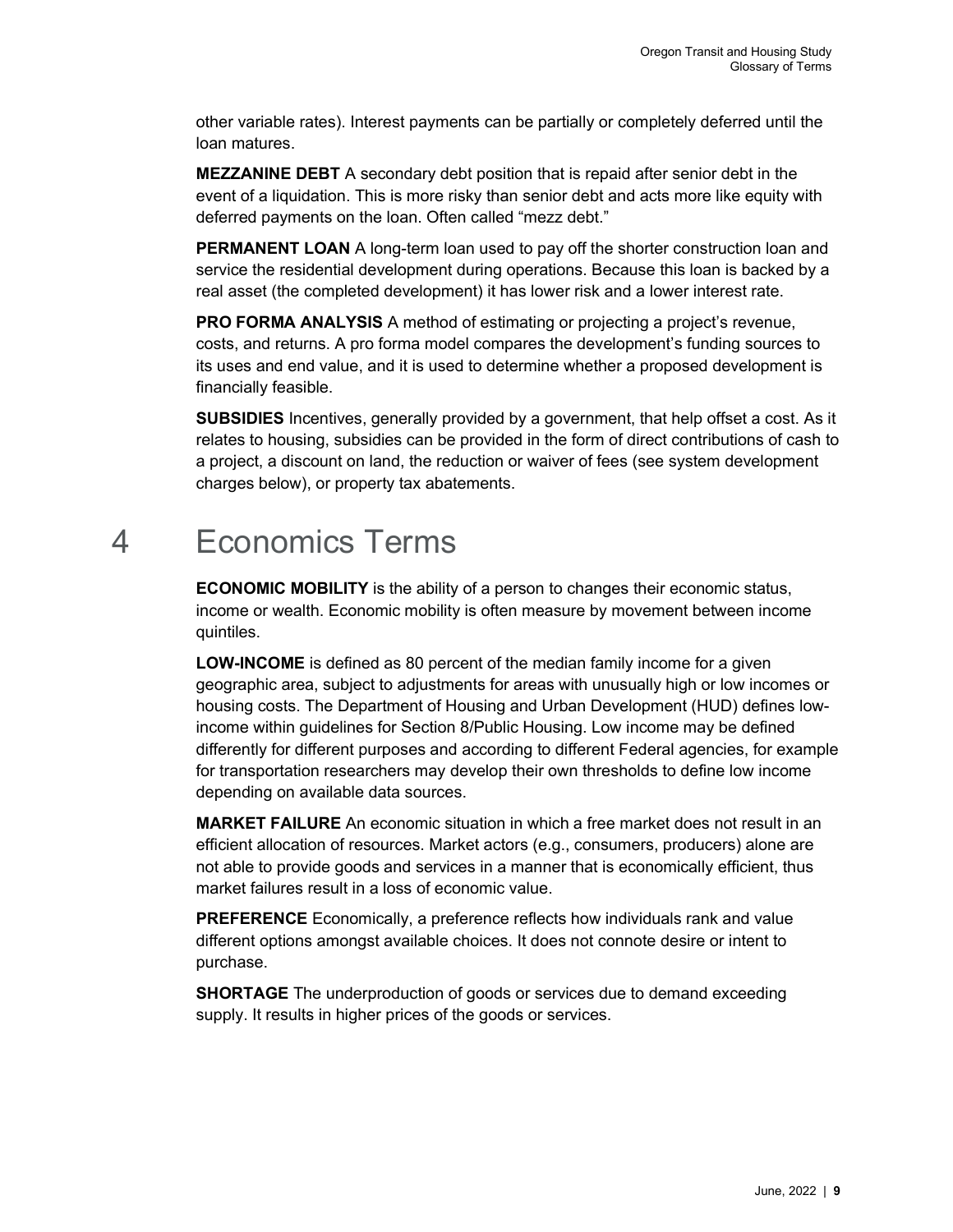other variable rates). Interest payments can be partially or completely deferred until the loan matures.

MEZZANINE DEBT A secondary debt position that is repaid after senior debt in the event of a liquidation. This is more risky than senior debt and acts more like equity with deferred payments on the loan. Often called "mezz debt."

**PERMANENT LOAN** A long-term loan used to pay off the shorter construction loan and service the residential development during operations. Because this loan is backed by a real asset (the completed development) it has lower risk and a lower interest rate.

PRO FORMA ANALYSIS A method of estimating or projecting a project's revenue, costs, and returns. A pro forma model compares the development's funding sources to its uses and end value, and it is used to determine whether a proposed development is financially feasible.

SUBSIDIES Incentives, generally provided by a government, that help offset a cost. As it relates to housing, subsidies can be provided in the form of direct contributions of cash to a project, a discount on land, the reduction or waiver of fees (see system development charges below), or property tax abatements.

## 4 Economics Terms

**ECONOMIC MOBILITY** is the ability of a person to changes their economic status, income or wealth. Economic mobility is often measure by movement between income quintiles.

LOW-INCOME is defined as 80 percent of the median family income for a given geographic area, subject to adjustments for areas with unusually high or low incomes or housing costs. The Department of Housing and Urban Development (HUD) defines lowincome within guidelines for Section 8/Public Housing. Low income may be defined differently for different purposes and according to different Federal agencies, for example for transportation researchers may develop their own thresholds to define low income depending on available data sources.

MARKET FAILURE An economic situation in which a free market does not result in an efficient allocation of resources. Market actors (e.g., consumers, producers) alone are not able to provide goods and services in a manner that is economically efficient, thus market failures result in a loss of economic value.

**PREFERENCE** Economically, a preference reflects how individuals rank and value different options amongst available choices. It does not connote desire or intent to purchase.

**SHORTAGE** The underproduction of goods or services due to demand exceeding supply. It results in higher prices of the goods or services.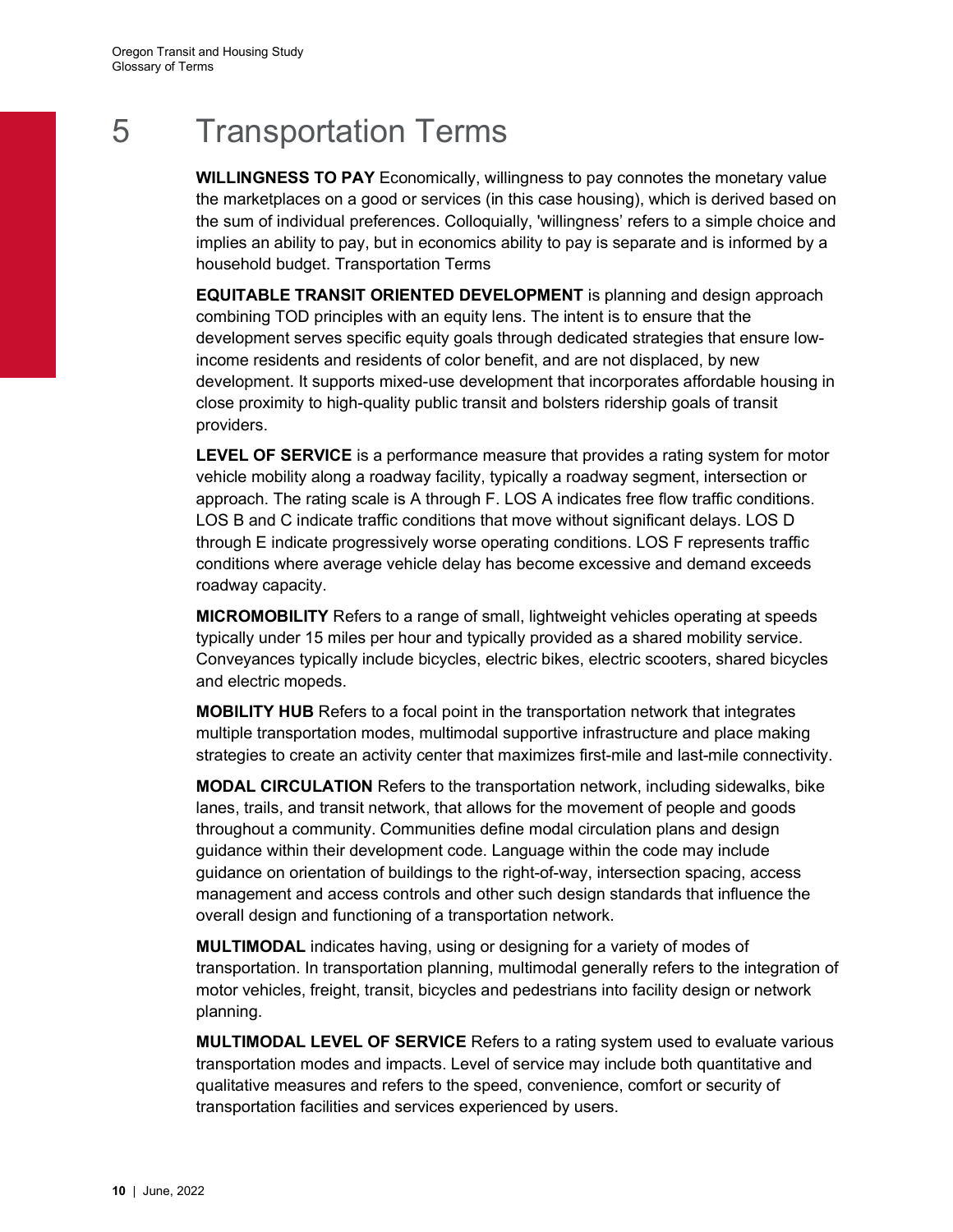# 5 Transportation Terms

WILLINGNESS TO PAY Economically, willingness to pay connotes the monetary value the marketplaces on a good or services (in this case housing), which is derived based on the sum of individual preferences. Colloquially, 'willingness' refers to a simple choice and implies an ability to pay, but in economics ability to pay is separate and is informed by a household budget. Transportation Terms

EQUITABLE TRANSIT ORIENTED DEVELOPMENT is planning and design approach combining TOD principles with an equity lens. The intent is to ensure that the development serves specific equity goals through dedicated strategies that ensure lowincome residents and residents of color benefit, and are not displaced, by new development. It supports mixed-use development that incorporates affordable housing in close proximity to high-quality public transit and bolsters ridership goals of transit providers.

**LEVEL OF SERVICE** is a performance measure that provides a rating system for motor vehicle mobility along a roadway facility, typically a roadway segment, intersection or approach. The rating scale is A through F. LOS A indicates free flow traffic conditions. LOS B and C indicate traffic conditions that move without significant delays. LOS D through E indicate progressively worse operating conditions. LOS F represents traffic conditions where average vehicle delay has become excessive and demand exceeds roadway capacity.

MICROMOBILITY Refers to a range of small, lightweight vehicles operating at speeds typically under 15 miles per hour and typically provided as a shared mobility service. Conveyances typically include bicycles, electric bikes, electric scooters, shared bicycles and electric mopeds.

MOBILITY HUB Refers to a focal point in the transportation network that integrates multiple transportation modes, multimodal supportive infrastructure and place making strategies to create an activity center that maximizes first-mile and last-mile connectivity.

MODAL CIRCULATION Refers to the transportation network, including sidewalks, bike lanes, trails, and transit network, that allows for the movement of people and goods throughout a community. Communities define modal circulation plans and design guidance within their development code. Language within the code may include guidance on orientation of buildings to the right-of-way, intersection spacing, access management and access controls and other such design standards that influence the overall design and functioning of a transportation network.

MULTIMODAL indicates having, using or designing for a variety of modes of transportation. In transportation planning, multimodal generally refers to the integration of motor vehicles, freight, transit, bicycles and pedestrians into facility design or network planning.

**MULTIMODAL LEVEL OF SERVICE** Refers to a rating system used to evaluate various transportation modes and impacts. Level of service may include both quantitative and qualitative measures and refers to the speed, convenience, comfort or security of transportation facilities and services experienced by users.